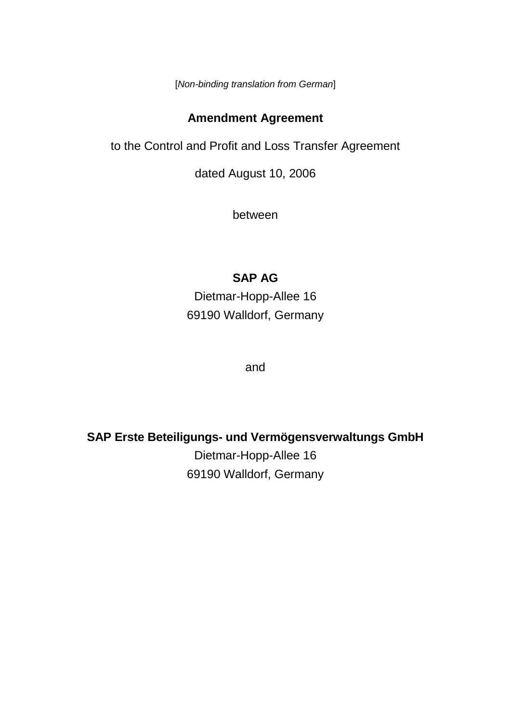[*Non-binding translation from German*]

## **Amendment Agreement**

to the Control and Profit and Loss Transfer Agreement

dated August 10, 2006

between

# **SAP AG**

Dietmar-Hopp-Allee 16 69190 Walldorf, Germany

and

**SAP Erste Beteiligungs- und Vermögensverwaltungs GmbH**

Dietmar-Hopp-Allee 16 69190 Walldorf, Germany